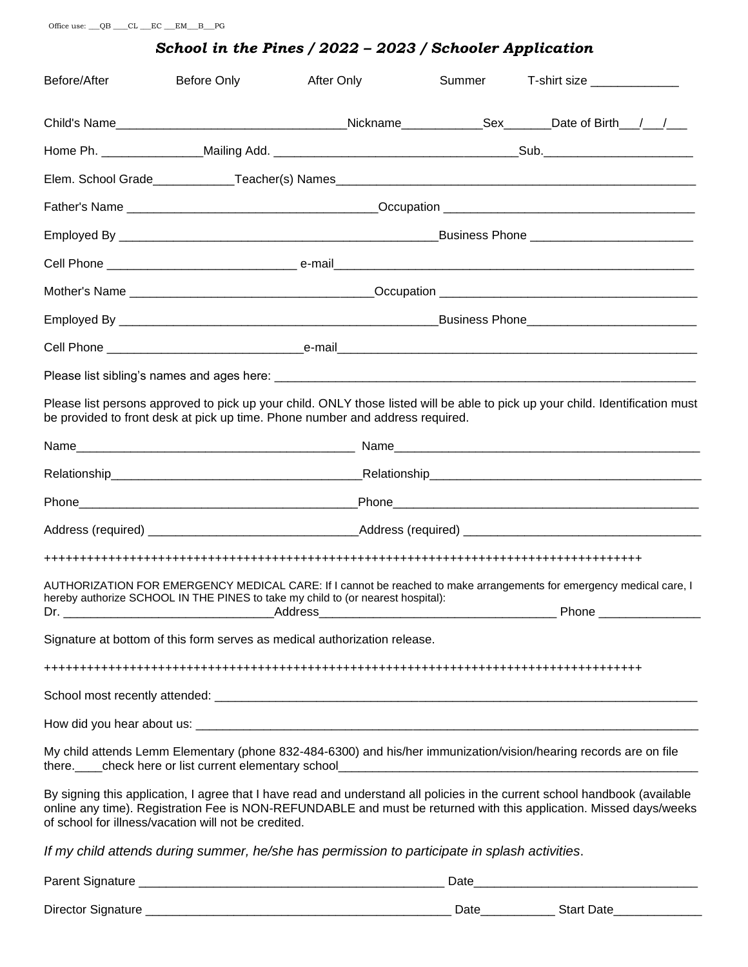#### *School in the Pines / 2022 – 2023 / Schooler Application*

| Before/After | Before Only                                                                                   | After Only | Summer | T-shirt size _______________                                                                                                                                                                                                                      |  |
|--------------|-----------------------------------------------------------------------------------------------|------------|--------|---------------------------------------------------------------------------------------------------------------------------------------------------------------------------------------------------------------------------------------------------|--|
|              |                                                                                               |            |        |                                                                                                                                                                                                                                                   |  |
|              |                                                                                               |            |        |                                                                                                                                                                                                                                                   |  |
|              |                                                                                               |            |        |                                                                                                                                                                                                                                                   |  |
|              |                                                                                               |            |        |                                                                                                                                                                                                                                                   |  |
|              |                                                                                               |            |        |                                                                                                                                                                                                                                                   |  |
|              |                                                                                               |            |        |                                                                                                                                                                                                                                                   |  |
|              |                                                                                               |            |        |                                                                                                                                                                                                                                                   |  |
|              |                                                                                               |            |        |                                                                                                                                                                                                                                                   |  |
|              |                                                                                               |            |        |                                                                                                                                                                                                                                                   |  |
|              |                                                                                               |            |        |                                                                                                                                                                                                                                                   |  |
|              | be provided to front desk at pick up time. Phone number and address required.                 |            |        | Please list persons approved to pick up your child. ONLY those listed will be able to pick up your child. Identification must                                                                                                                     |  |
|              |                                                                                               |            |        |                                                                                                                                                                                                                                                   |  |
|              |                                                                                               |            |        |                                                                                                                                                                                                                                                   |  |
|              |                                                                                               |            |        |                                                                                                                                                                                                                                                   |  |
|              |                                                                                               |            |        |                                                                                                                                                                                                                                                   |  |
|              |                                                                                               |            |        |                                                                                                                                                                                                                                                   |  |
| Dr.          | hereby authorize SCHOOL IN THE PINES to take my child to (or nearest hospital):               | Address    |        | AUTHORIZATION FOR EMERGENCY MEDICAL CARE: If I cannot be reached to make arrangements for emergency medical care, I<br><b>Phone</b>                                                                                                               |  |
|              | Signature at bottom of this form serves as medical authorization release.                     |            |        |                                                                                                                                                                                                                                                   |  |
|              |                                                                                               |            |        |                                                                                                                                                                                                                                                   |  |
|              |                                                                                               |            |        |                                                                                                                                                                                                                                                   |  |
|              |                                                                                               |            |        |                                                                                                                                                                                                                                                   |  |
|              |                                                                                               |            |        | My child attends Lemm Elementary (phone 832-484-6300) and his/her immunization/vision/hearing records are on file                                                                                                                                 |  |
|              | of school for illness/vacation will not be credited.                                          |            |        | By signing this application, I agree that I have read and understand all policies in the current school handbook (available<br>online any time). Registration Fee is NON-REFUNDABLE and must be returned with this application. Missed days/weeks |  |
|              | If my child attends during summer, he/she has permission to participate in splash activities. |            |        |                                                                                                                                                                                                                                                   |  |
|              |                                                                                               |            |        |                                                                                                                                                                                                                                                   |  |

| Director Signature |  |
|--------------------|--|
|                    |  |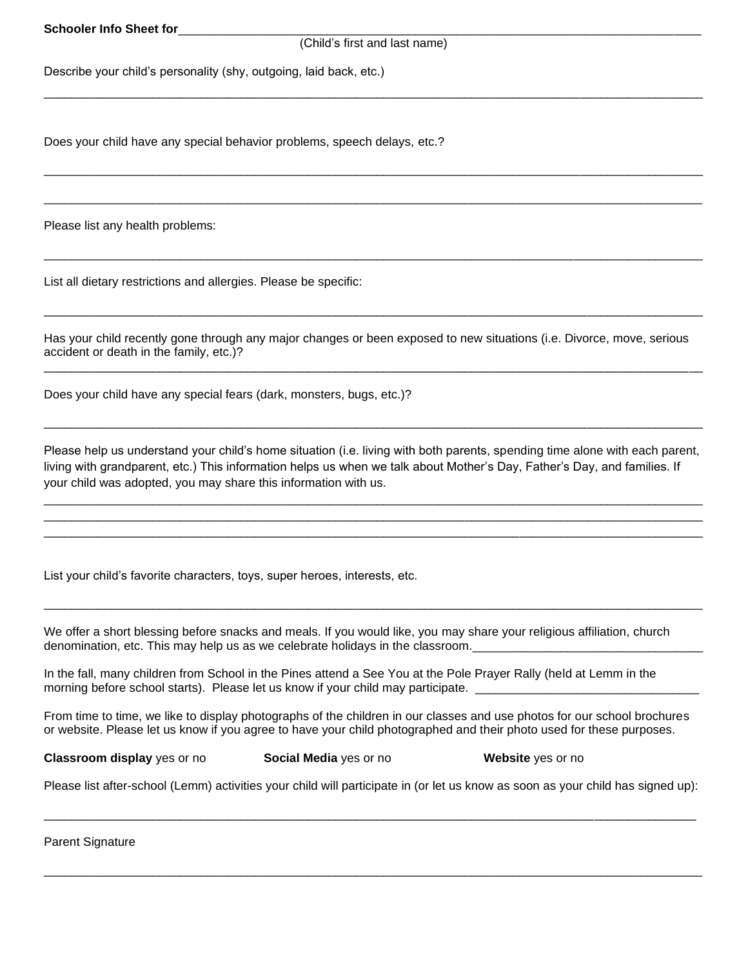**Schooler Info Sheet for** 

#### (Child's first and last name)

\_\_\_\_\_\_\_\_\_\_\_\_\_\_\_\_\_\_\_\_\_\_\_\_\_\_\_\_\_\_\_\_\_\_\_\_\_\_\_\_\_\_\_\_\_\_\_\_\_\_\_\_\_\_\_\_\_\_\_\_\_\_\_\_\_\_\_\_\_\_\_\_\_\_\_\_\_\_\_\_\_\_\_\_\_\_\_\_\_\_\_\_\_\_\_\_\_

\_\_\_\_\_\_\_\_\_\_\_\_\_\_\_\_\_\_\_\_\_\_\_\_\_\_\_\_\_\_\_\_\_\_\_\_\_\_\_\_\_\_\_\_\_\_\_\_\_\_\_\_\_\_\_\_\_\_\_\_\_\_\_\_\_\_\_\_\_\_\_\_\_\_\_\_\_\_\_\_\_\_\_\_\_\_\_\_\_\_\_\_\_\_\_\_\_

 $\Box$ 

\_\_\_\_\_\_\_\_\_\_\_\_\_\_\_\_\_\_\_\_\_\_\_\_\_\_\_\_\_\_\_\_\_\_\_\_\_\_\_\_\_\_\_\_\_\_\_\_\_\_\_\_\_\_\_\_\_\_\_\_\_\_\_\_\_\_\_\_\_\_\_\_\_\_\_\_\_\_\_\_\_\_\_\_\_\_\_\_\_\_\_\_\_\_\_\_\_

\_\_\_\_\_\_\_\_\_\_\_\_\_\_\_\_\_\_\_\_\_\_\_\_\_\_\_\_\_\_\_\_\_\_\_\_\_\_\_\_\_\_\_\_\_\_\_\_\_\_\_\_\_\_\_\_\_\_\_\_\_\_\_\_\_\_\_\_\_\_\_\_\_\_\_\_\_\_\_\_\_\_\_\_\_\_\_\_\_\_\_\_\_\_\_\_\_

Describe your child's personality (shy, outgoing, laid back, etc.)

Does your child have any special behavior problems, speech delays, etc.?

Please list any health problems:

List all dietary restrictions and allergies. Please be specific:

Has your child recently gone through any major changes or been exposed to new situations (i.e. Divorce, move, serious accident or death in the family, etc.)?

\_\_\_\_\_\_\_\_\_\_\_\_\_\_\_\_\_\_\_\_\_\_\_\_\_\_\_\_\_\_\_\_\_\_\_\_\_\_\_\_\_\_\_\_\_\_\_\_\_\_\_\_\_\_\_\_\_\_\_\_\_\_\_\_\_\_\_\_\_\_\_\_\_\_\_\_\_\_\_\_\_\_\_\_\_\_\_\_\_\_\_\_\_\_\_\_\_

Does your child have any special fears (dark, monsters, bugs, etc.)?

Please help us understand your child's home situation (i.e. living with both parents, spending time alone with each parent, living with grandparent, etc.) This information helps us when we talk about Mother's Day, Father's Day, and families. If your child was adopted, you may share this information with us.

\_\_\_\_\_\_\_\_\_\_\_\_\_\_\_\_\_\_\_\_\_\_\_\_\_\_\_\_\_\_\_\_\_\_\_\_\_\_\_\_\_\_\_\_\_\_\_\_\_\_\_\_\_\_\_\_\_\_\_\_\_\_\_\_\_\_\_\_\_\_\_\_\_\_\_\_\_\_\_\_\_\_\_\_\_\_\_\_\_\_\_\_\_\_\_\_\_ \_\_\_\_\_\_\_\_\_\_\_\_\_\_\_\_\_\_\_\_\_\_\_\_\_\_\_\_\_\_\_\_\_\_\_\_\_\_\_\_\_\_\_\_\_\_\_\_\_\_\_\_\_\_\_\_\_\_\_\_\_\_\_\_\_\_\_\_\_\_\_\_\_\_\_\_\_\_\_\_\_\_\_\_\_\_\_\_\_\_\_\_\_\_\_\_\_ \_\_\_\_\_\_\_\_\_\_\_\_\_\_\_\_\_\_\_\_\_\_\_\_\_\_\_\_\_\_\_\_\_\_\_\_\_\_\_\_\_\_\_\_\_\_\_\_\_\_\_\_\_\_\_\_\_\_\_\_\_\_\_\_\_\_\_\_\_\_\_\_\_\_\_\_\_\_\_\_\_\_\_\_\_\_\_\_\_\_\_\_\_\_\_\_\_

\_\_\_\_\_\_\_\_\_\_\_\_\_\_\_\_\_\_\_\_\_\_\_\_\_\_\_\_\_\_\_\_\_\_\_\_\_\_\_\_\_\_\_\_\_\_\_\_\_\_\_\_\_\_\_\_\_\_\_\_\_\_\_\_\_\_\_\_\_\_\_\_\_\_\_\_\_\_\_\_\_\_\_\_\_\_\_\_\_\_\_\_\_\_\_\_\_

\_\_\_\_\_\_\_\_\_\_\_\_\_\_\_\_\_\_\_\_\_\_\_\_\_\_\_\_\_\_\_\_\_\_\_\_\_\_\_\_\_\_\_\_\_\_\_\_\_\_\_\_\_\_\_\_\_\_\_\_\_\_\_\_\_\_\_\_\_\_\_\_\_\_\_\_\_\_\_\_\_\_\_\_\_\_\_\_\_\_\_\_\_\_\_\_\_

List your child's favorite characters, toys, super heroes, interests, etc.

We offer a short blessing before snacks and meals. If you would like, you may share your religious affiliation, church denomination, etc. This may help us as we celebrate holidays in the classroom.

In the fall, many children from School in the Pines attend a See You at the Pole Prayer Rally (held at Lemm in the morning before school starts). Please let us know if your child may participate. \_\_\_\_\_\_\_\_\_\_\_\_\_\_\_\_\_\_

From time to time, we like to display photographs of the children in our classes and use photos for our school brochures or website. Please let us know if you agree to have your child photographed and their photo used for these purposes.

**Classroom display** yes or no **Social Media** yes or no **Website** yes or no

Please list after-school (Lemm) activities your child will participate in (or let us know as soon as your child has signed up):

\_\_\_\_\_\_\_\_\_\_\_\_\_\_\_\_\_\_\_\_\_\_\_\_\_\_\_\_\_\_\_\_\_\_\_\_\_\_\_\_\_\_\_\_\_\_\_\_\_\_\_\_\_\_\_\_\_\_\_\_\_\_\_\_\_\_\_\_\_\_\_\_\_\_\_\_\_\_\_\_\_\_\_\_\_\_\_\_\_\_\_\_\_\_\_\_

 $\Box$ 

Parent Signature